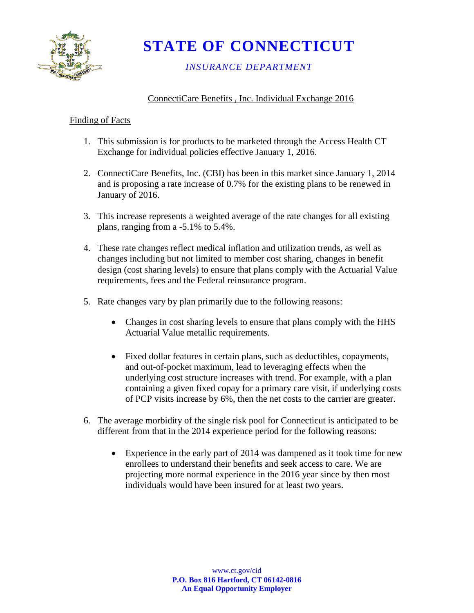

**STATE OF CONNECTICUT**

# *INSURANCE DEPARTMENT*

# ConnectiCare Benefits , Inc. Individual Exchange 2016

# Finding of Facts

- 1. This submission is for products to be marketed through the Access Health CT Exchange for individual policies effective January 1, 2016.
- 2. ConnectiCare Benefits, Inc. (CBI) has been in this market since January 1, 2014 and is proposing a rate increase of 0.7% for the existing plans to be renewed in January of 2016.
- 3. This increase represents a weighted average of the rate changes for all existing plans, ranging from a -5.1% to 5.4%.
- 4. These rate changes reflect medical inflation and utilization trends, as well as changes including but not limited to member cost sharing, changes in benefit design (cost sharing levels) to ensure that plans comply with the Actuarial Value requirements, fees and the Federal reinsurance program.
- 5. Rate changes vary by plan primarily due to the following reasons:
	- Changes in cost sharing levels to ensure that plans comply with the HHS Actuarial Value metallic requirements.
	- Fixed dollar features in certain plans, such as deductibles, copayments, and out-of-pocket maximum, lead to leveraging effects when the underlying cost structure increases with trend. For example, with a plan containing a given fixed copay for a primary care visit, if underlying costs of PCP visits increase by 6%, then the net costs to the carrier are greater.
- 6. The average morbidity of the single risk pool for Connecticut is anticipated to be different from that in the 2014 experience period for the following reasons:
	- Experience in the early part of 2014 was dampened as it took time for new enrollees to understand their benefits and seek access to care. We are projecting more normal experience in the 2016 year since by then most individuals would have been insured for at least two years.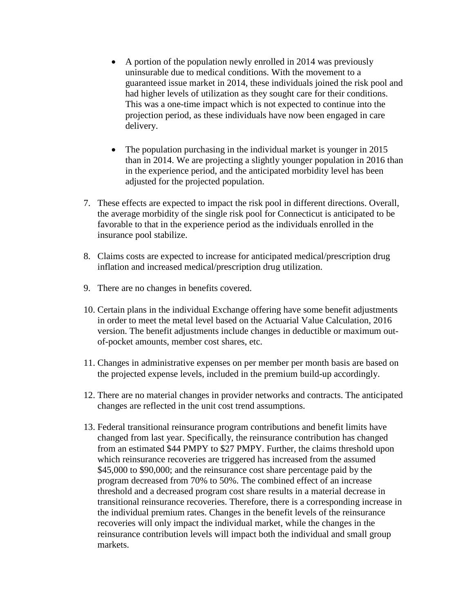- A portion of the population newly enrolled in 2014 was previously uninsurable due to medical conditions. With the movement to a guaranteed issue market in 2014, these individuals joined the risk pool and had higher levels of utilization as they sought care for their conditions. This was a one-time impact which is not expected to continue into the projection period, as these individuals have now been engaged in care delivery.
- The population purchasing in the individual market is younger in 2015 than in 2014. We are projecting a slightly younger population in 2016 than in the experience period, and the anticipated morbidity level has been adjusted for the projected population.
- 7. These effects are expected to impact the risk pool in different directions. Overall, the average morbidity of the single risk pool for Connecticut is anticipated to be favorable to that in the experience period as the individuals enrolled in the insurance pool stabilize.
- 8. Claims costs are expected to increase for anticipated medical/prescription drug inflation and increased medical/prescription drug utilization.
- 9. There are no changes in benefits covered.
- 10. Certain plans in the individual Exchange offering have some benefit adjustments in order to meet the metal level based on the Actuarial Value Calculation, 2016 version. The benefit adjustments include changes in deductible or maximum outof-pocket amounts, member cost shares, etc.
- 11. Changes in administrative expenses on per member per month basis are based on the projected expense levels, included in the premium build-up accordingly.
- 12. There are no material changes in provider networks and contracts. The anticipated changes are reflected in the unit cost trend assumptions.
- 13. Federal transitional reinsurance program contributions and benefit limits have changed from last year. Specifically, the reinsurance contribution has changed from an estimated \$44 PMPY to \$27 PMPY. Further, the claims threshold upon which reinsurance recoveries are triggered has increased from the assumed \$45,000 to \$90,000; and the reinsurance cost share percentage paid by the program decreased from 70% to 50%. The combined effect of an increase threshold and a decreased program cost share results in a material decrease in transitional reinsurance recoveries. Therefore, there is a corresponding increase in the individual premium rates. Changes in the benefit levels of the reinsurance recoveries will only impact the individual market, while the changes in the reinsurance contribution levels will impact both the individual and small group markets.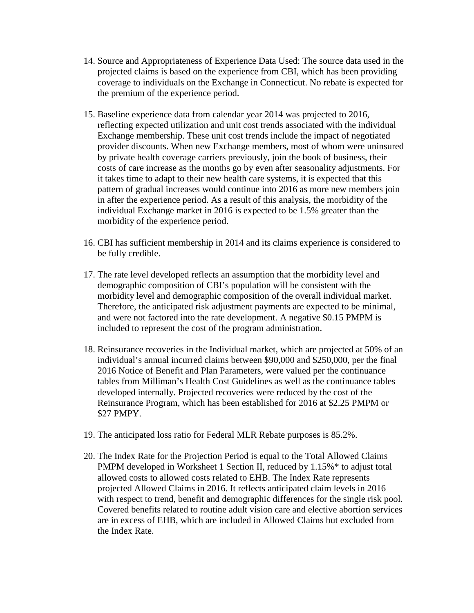- 14. Source and Appropriateness of Experience Data Used: The source data used in the projected claims is based on the experience from CBI, which has been providing coverage to individuals on the Exchange in Connecticut. No rebate is expected for the premium of the experience period.
- 15. Baseline experience data from calendar year 2014 was projected to 2016, reflecting expected utilization and unit cost trends associated with the individual Exchange membership. These unit cost trends include the impact of negotiated provider discounts. When new Exchange members, most of whom were uninsured by private health coverage carriers previously, join the book of business, their costs of care increase as the months go by even after seasonality adjustments. For it takes time to adapt to their new health care systems, it is expected that this pattern of gradual increases would continue into 2016 as more new members join in after the experience period. As a result of this analysis, the morbidity of the individual Exchange market in 2016 is expected to be 1.5% greater than the morbidity of the experience period.
- 16. CBI has sufficient membership in 2014 and its claims experience is considered to be fully credible.
- 17. The rate level developed reflects an assumption that the morbidity level and demographic composition of CBI's population will be consistent with the morbidity level and demographic composition of the overall individual market. Therefore, the anticipated risk adjustment payments are expected to be minimal, and were not factored into the rate development. A negative \$0.15 PMPM is included to represent the cost of the program administration.
- 18. Reinsurance recoveries in the Individual market, which are projected at 50% of an individual's annual incurred claims between \$90,000 and \$250,000, per the final 2016 Notice of Benefit and Plan Parameters, were valued per the continuance tables from Milliman's Health Cost Guidelines as well as the continuance tables developed internally. Projected recoveries were reduced by the cost of the Reinsurance Program, which has been established for 2016 at \$2.25 PMPM or \$27 PMPY.
- 19. The anticipated loss ratio for Federal MLR Rebate purposes is 85.2%.
- 20. The Index Rate for the Projection Period is equal to the Total Allowed Claims PMPM developed in Worksheet 1 Section II, reduced by 1.15%\* to adjust total allowed costs to allowed costs related to EHB. The Index Rate represents projected Allowed Claims in 2016. It reflects anticipated claim levels in 2016 with respect to trend, benefit and demographic differences for the single risk pool. Covered benefits related to routine adult vision care and elective abortion services are in excess of EHB, which are included in Allowed Claims but excluded from the Index Rate.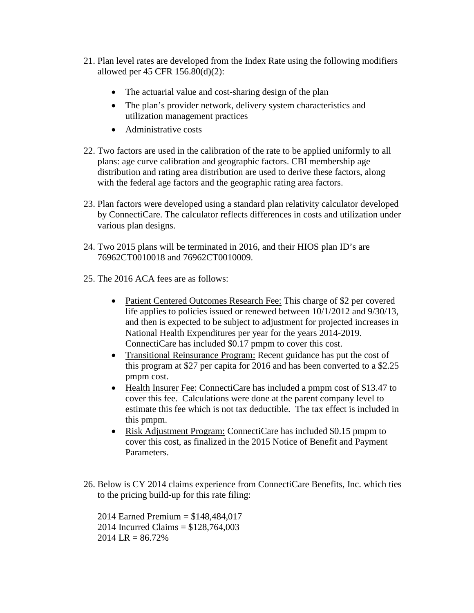- 21. Plan level rates are developed from the Index Rate using the following modifiers allowed per 45 CFR 156.80(d)(2):
	- The actuarial value and cost-sharing design of the plan
	- The plan's provider network, delivery system characteristics and utilization management practices
	- Administrative costs
- 22. Two factors are used in the calibration of the rate to be applied uniformly to all plans: age curve calibration and geographic factors. CBI membership age distribution and rating area distribution are used to derive these factors, along with the federal age factors and the geographic rating area factors.
- 23. Plan factors were developed using a standard plan relativity calculator developed by ConnectiCare. The calculator reflects differences in costs and utilization under various plan designs.
- 24. Two 2015 plans will be terminated in 2016, and their HIOS plan ID's are 76962CT0010018 and 76962CT0010009.
- 25. The 2016 ACA fees are as follows:
	- Patient Centered Outcomes Research Fee: This charge of \$2 per covered life applies to policies issued or renewed between 10/1/2012 and 9/30/13, and then is expected to be subject to adjustment for projected increases in National Health Expenditures per year for the years 2014-2019. ConnectiCare has included \$0.17 pmpm to cover this cost.
	- Transitional Reinsurance Program: Recent guidance has put the cost of this program at \$27 per capita for 2016 and has been converted to a \$2.25 pmpm cost.
	- Health Insurer Fee: ConnectiCare has included a pmpm cost of \$13.47 to cover this fee. Calculations were done at the parent company level to estimate this fee which is not tax deductible. The tax effect is included in this pmpm.
	- Risk Adjustment Program: ConnectiCare has included \$0.15 pmpm to cover this cost, as finalized in the 2015 Notice of Benefit and Payment Parameters.
- 26. Below is CY 2014 claims experience from ConnectiCare Benefits, Inc. which ties to the pricing build-up for this rate filing:

2014 Earned Premium = \$148,484,017 2014 Incurred Claims = \$128,764,003  $2014$  LR = 86.72%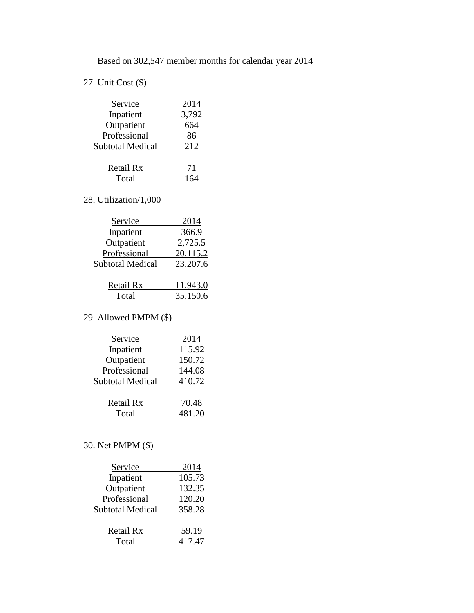Based on 302,547 member months for calendar year 2014

# 27. Unit Cost (\$)

| Service                                    | 2014  |
|--------------------------------------------|-------|
| Inpatient                                  | 3,792 |
| Outpatient                                 | 664   |
| Professional                               | 86    |
| <b>Subtotal Medical</b>                    | 212   |
| <b>Contract Contract Contract Contract</b> |       |

| Retail Rx |     |
|-----------|-----|
| Total     | 164 |

# 28. Utilization/1,000

| Service                 | 2014     |
|-------------------------|----------|
| Inpatient               | 366.9    |
| Outpatient              | 2,725.5  |
| Professional            | 20,115.2 |
| <b>Subtotal Medical</b> | 23,207.6 |
|                         |          |
| Retail Rx               | 11,943.0 |

# Total 35,150.6

# 29. Allowed PMPM (\$)

| Service                 | 2014   |
|-------------------------|--------|
| Inpatient               | 115.92 |
| Outpatient              | 150.72 |
| Professional            | 144.08 |
| <b>Subtotal Medical</b> | 410.72 |
|                         |        |
| Retail Rx               | 70.48  |
| Total                   | 481.20 |
|                         |        |

# 30. Net PMPM (\$)

| Service          | 2014   |
|------------------|--------|
| Inpatient        | 105.73 |
| Outpatient       | 132.35 |
| Professional     | 120.20 |
| Subtotal Medical | 358.28 |
|                  |        |
| Retail Rx        | 59.19  |
| Total            | 417.47 |
|                  |        |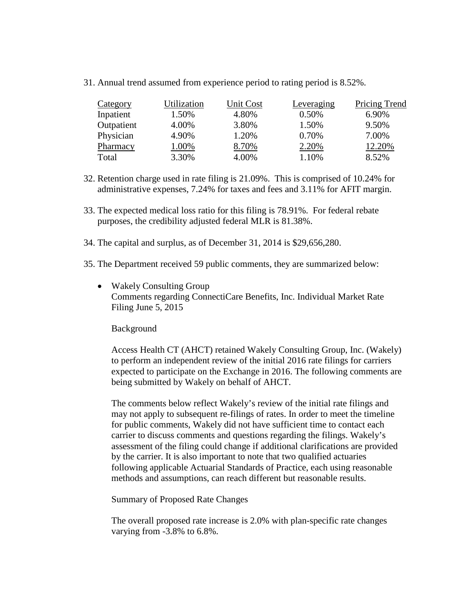31. Annual trend assumed from experience period to rating period is 8.52%.

| Category   | Utilization | Unit Cost | Leveraging | Pricing Trend |
|------------|-------------|-----------|------------|---------------|
| Inpatient  | 1.50%       | 4.80%     | 0.50%      | 6.90%         |
| Outpatient | 4.00%       | 3.80%     | 1.50%      | 9.50%         |
| Physician  | 4.90%       | 1.20%     | 0.70%      | 7.00%         |
| Pharmacy   | 1.00%       | 8.70%     | 2.20%      | 12.20%        |
| Total      | 3.30%       | 4.00%     | 1.10%      | 8.52%         |

- 32. Retention charge used in rate filing is 21.09%. This is comprised of 10.24% for administrative expenses, 7.24% for taxes and fees and 3.11% for AFIT margin.
- 33. The expected medical loss ratio for this filing is 78.91%. For federal rebate purposes, the credibility adjusted federal MLR is 81.38%.
- 34. The capital and surplus, as of December 31, 2014 is \$29,656,280.
- 35. The Department received 59 public comments, they are summarized below:
	- Wakely Consulting Group Comments regarding ConnectiCare Benefits, Inc. Individual Market Rate Filing June 5, 2015

#### Background

Access Health CT (AHCT) retained Wakely Consulting Group, Inc. (Wakely) to perform an independent review of the initial 2016 rate filings for carriers expected to participate on the Exchange in 2016. The following comments are being submitted by Wakely on behalf of AHCT.

The comments below reflect Wakely's review of the initial rate filings and may not apply to subsequent re-filings of rates. In order to meet the timeline for public comments, Wakely did not have sufficient time to contact each carrier to discuss comments and questions regarding the filings. Wakely's assessment of the filing could change if additional clarifications are provided by the carrier. It is also important to note that two qualified actuaries following applicable Actuarial Standards of Practice, each using reasonable methods and assumptions, can reach different but reasonable results.

Summary of Proposed Rate Changes

The overall proposed rate increase is 2.0% with plan-specific rate changes varying from -3.8% to 6.8%.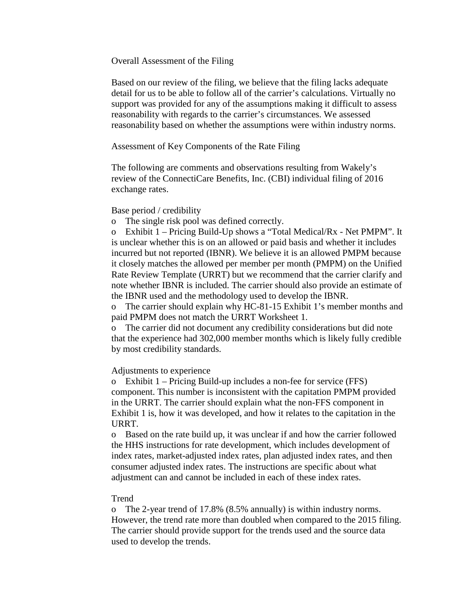Overall Assessment of the Filing

Based on our review of the filing, we believe that the filing lacks adequate detail for us to be able to follow all of the carrier's calculations. Virtually no support was provided for any of the assumptions making it difficult to assess reasonability with regards to the carrier's circumstances. We assessed reasonability based on whether the assumptions were within industry norms.

Assessment of Key Components of the Rate Filing

The following are comments and observations resulting from Wakely's review of the ConnectiCare Benefits, Inc. (CBI) individual filing of 2016 exchange rates.

#### Base period / credibility

o The single risk pool was defined correctly.

o Exhibit 1 – Pricing Build-Up shows a "Total Medical/Rx - Net PMPM". It is unclear whether this is on an allowed or paid basis and whether it includes incurred but not reported (IBNR). We believe it is an allowed PMPM because it closely matches the allowed per member per month (PMPM) on the Unified Rate Review Template (URRT) but we recommend that the carrier clarify and note whether IBNR is included. The carrier should also provide an estimate of the IBNR used and the methodology used to develop the IBNR.

o The carrier should explain why HC-81-15 Exhibit 1's member months and paid PMPM does not match the URRT Worksheet 1.

o The carrier did not document any credibility considerations but did note that the experience had 302,000 member months which is likely fully credible by most credibility standards.

#### Adjustments to experience

o Exhibit 1 – Pricing Build-up includes a non-fee for service (FFS) component. This number is inconsistent with the capitation PMPM provided in the URRT. The carrier should explain what the non-FFS component in Exhibit 1 is, how it was developed, and how it relates to the capitation in the URRT.

o Based on the rate build up, it was unclear if and how the carrier followed the HHS instructions for rate development, which includes development of index rates, market-adjusted index rates, plan adjusted index rates, and then consumer adjusted index rates. The instructions are specific about what adjustment can and cannot be included in each of these index rates.

#### Trend

o The 2-year trend of 17.8% (8.5% annually) is within industry norms. However, the trend rate more than doubled when compared to the 2015 filing. The carrier should provide support for the trends used and the source data used to develop the trends.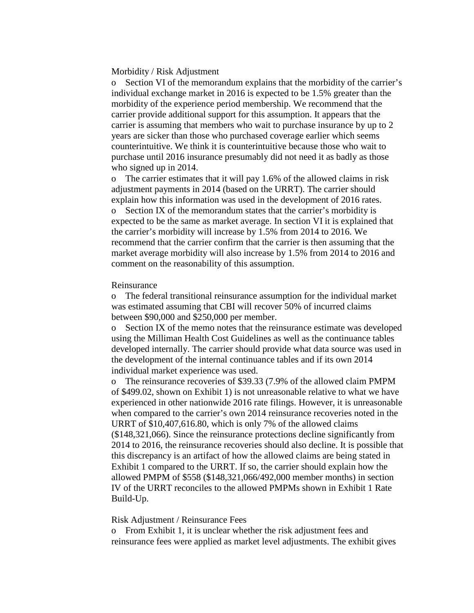#### Morbidity / Risk Adjustment

o Section VI of the memorandum explains that the morbidity of the carrier's individual exchange market in 2016 is expected to be 1.5% greater than the morbidity of the experience period membership. We recommend that the carrier provide additional support for this assumption. It appears that the carrier is assuming that members who wait to purchase insurance by up to 2 years are sicker than those who purchased coverage earlier which seems counterintuitive. We think it is counterintuitive because those who wait to purchase until 2016 insurance presumably did not need it as badly as those who signed up in 2014.

o The carrier estimates that it will pay 1.6% of the allowed claims in risk adjustment payments in 2014 (based on the URRT). The carrier should explain how this information was used in the development of 2016 rates. o Section IX of the memorandum states that the carrier's morbidity is expected to be the same as market average. In section VI it is explained that the carrier's morbidity will increase by 1.5% from 2014 to 2016. We recommend that the carrier confirm that the carrier is then assuming that the market average morbidity will also increase by 1.5% from 2014 to 2016 and comment on the reasonability of this assumption.

#### Reinsurance

o The federal transitional reinsurance assumption for the individual market was estimated assuming that CBI will recover 50% of incurred claims between \$90,000 and \$250,000 per member.

o Section IX of the memo notes that the reinsurance estimate was developed using the Milliman Health Cost Guidelines as well as the continuance tables developed internally. The carrier should provide what data source was used in the development of the internal continuance tables and if its own 2014 individual market experience was used.

o The reinsurance recoveries of \$39.33 (7.9% of the allowed claim PMPM of \$499.02, shown on Exhibit 1) is not unreasonable relative to what we have experienced in other nationwide 2016 rate filings. However, it is unreasonable when compared to the carrier's own 2014 reinsurance recoveries noted in the URRT of \$10,407,616.80, which is only 7% of the allowed claims (\$148,321,066). Since the reinsurance protections decline significantly from 2014 to 2016, the reinsurance recoveries should also decline. It is possible that this discrepancy is an artifact of how the allowed claims are being stated in Exhibit 1 compared to the URRT. If so, the carrier should explain how the allowed PMPM of \$558 (\$148,321,066/492,000 member months) in section IV of the URRT reconciles to the allowed PMPMs shown in Exhibit 1 Rate Build-Up.

#### Risk Adjustment / Reinsurance Fees

o From Exhibit 1, it is unclear whether the risk adjustment fees and reinsurance fees were applied as market level adjustments. The exhibit gives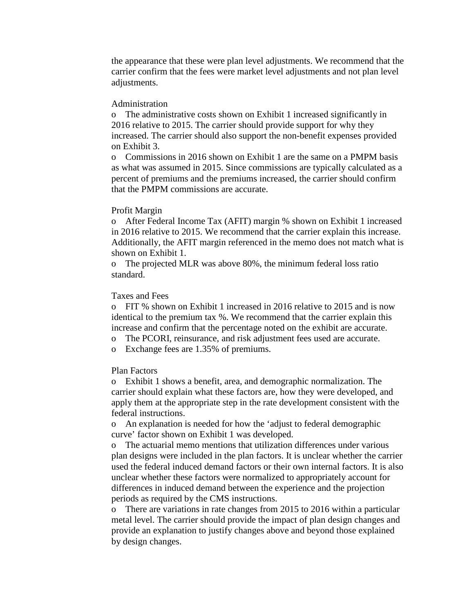the appearance that these were plan level adjustments. We recommend that the carrier confirm that the fees were market level adjustments and not plan level adjustments.

#### Administration

o The administrative costs shown on Exhibit 1 increased significantly in 2016 relative to 2015. The carrier should provide support for why they increased. The carrier should also support the non-benefit expenses provided on Exhibit 3.

o Commissions in 2016 shown on Exhibit 1 are the same on a PMPM basis as what was assumed in 2015. Since commissions are typically calculated as a percent of premiums and the premiums increased, the carrier should confirm that the PMPM commissions are accurate.

# Profit Margin

o After Federal Income Tax (AFIT) margin % shown on Exhibit 1 increased in 2016 relative to 2015. We recommend that the carrier explain this increase. Additionally, the AFIT margin referenced in the memo does not match what is shown on Exhibit 1.

o The projected MLR was above 80%, the minimum federal loss ratio standard.

## Taxes and Fees

o FIT % shown on Exhibit 1 increased in 2016 relative to 2015 and is now identical to the premium tax %. We recommend that the carrier explain this increase and confirm that the percentage noted on the exhibit are accurate.

- o The PCORI, reinsurance, and risk adjustment fees used are accurate.
- o Exchange fees are 1.35% of premiums.

# Plan Factors

o Exhibit 1 shows a benefit, area, and demographic normalization. The carrier should explain what these factors are, how they were developed, and apply them at the appropriate step in the rate development consistent with the federal instructions.

o An explanation is needed for how the 'adjust to federal demographic curve' factor shown on Exhibit 1 was developed.

o The actuarial memo mentions that utilization differences under various plan designs were included in the plan factors. It is unclear whether the carrier used the federal induced demand factors or their own internal factors. It is also unclear whether these factors were normalized to appropriately account for differences in induced demand between the experience and the projection periods as required by the CMS instructions.

o There are variations in rate changes from 2015 to 2016 within a particular metal level. The carrier should provide the impact of plan design changes and provide an explanation to justify changes above and beyond those explained by design changes.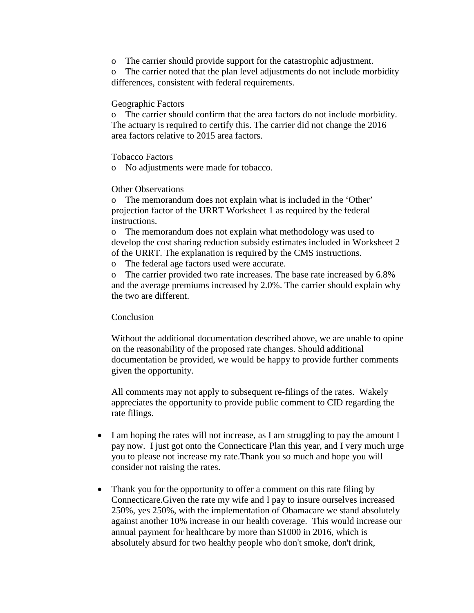o The carrier should provide support for the catastrophic adjustment.

o The carrier noted that the plan level adjustments do not include morbidity differences, consistent with federal requirements.

## Geographic Factors

o The carrier should confirm that the area factors do not include morbidity. The actuary is required to certify this. The carrier did not change the 2016 area factors relative to 2015 area factors.

Tobacco Factors

o No adjustments were made for tobacco.

# Other Observations

o The memorandum does not explain what is included in the 'Other' projection factor of the URRT Worksheet 1 as required by the federal instructions.

o The memorandum does not explain what methodology was used to develop the cost sharing reduction subsidy estimates included in Worksheet 2 of the URRT. The explanation is required by the CMS instructions.

o The federal age factors used were accurate.

o The carrier provided two rate increases. The base rate increased by 6.8% and the average premiums increased by 2.0%. The carrier should explain why the two are different.

# Conclusion

Without the additional documentation described above, we are unable to opine on the reasonability of the proposed rate changes. Should additional documentation be provided, we would be happy to provide further comments given the opportunity.

All comments may not apply to subsequent re-filings of the rates. Wakely appreciates the opportunity to provide public comment to CID regarding the rate filings.

- I am hoping the rates will not increase, as I am struggling to pay the amount I pay now. I just got onto the Connecticare Plan this year, and I very much urge you to please not increase my rate.Thank you so much and hope you will consider not raising the rates.
- Thank you for the opportunity to offer a comment on this rate filing by Connecticare.Given the rate my wife and I pay to insure ourselves increased 250%, yes 250%, with the implementation of Obamacare we stand absolutely against another 10% increase in our health coverage. This would increase our annual payment for healthcare by more than \$1000 in 2016, which is absolutely absurd for two healthy people who don't smoke, don't drink,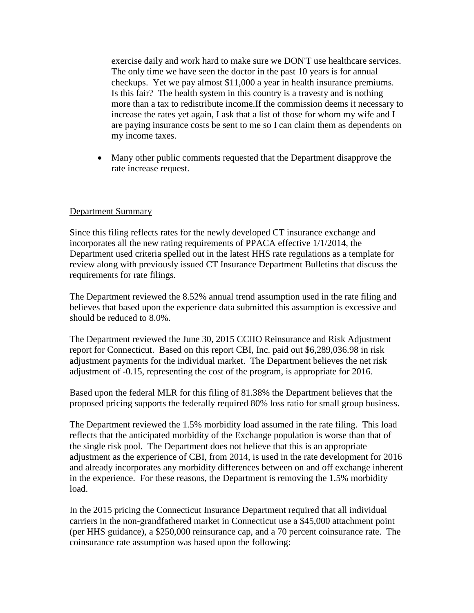exercise daily and work hard to make sure we DON'T use healthcare services. The only time we have seen the doctor in the past 10 years is for annual checkups. Yet we pay almost \$11,000 a year in health insurance premiums. Is this fair? The health system in this country is a travesty and is nothing more than a tax to redistribute income.If the commission deems it necessary to increase the rates yet again, I ask that a list of those for whom my wife and I are paying insurance costs be sent to me so I can claim them as dependents on my income taxes.

• Many other public comments requested that the Department disapprove the rate increase request.

# Department Summary

Since this filing reflects rates for the newly developed CT insurance exchange and incorporates all the new rating requirements of PPACA effective 1/1/2014, the Department used criteria spelled out in the latest HHS rate regulations as a template for review along with previously issued CT Insurance Department Bulletins that discuss the requirements for rate filings.

The Department reviewed the 8.52% annual trend assumption used in the rate filing and believes that based upon the experience data submitted this assumption is excessive and should be reduced to 8.0%.

The Department reviewed the June 30, 2015 CCIIO Reinsurance and Risk Adjustment report for Connecticut. Based on this report CBI, Inc. paid out \$6,289,036.98 in risk adjustment payments for the individual market. The Department believes the net risk adjustment of -0.15, representing the cost of the program, is appropriate for 2016.

Based upon the federal MLR for this filing of 81.38% the Department believes that the proposed pricing supports the federally required 80% loss ratio for small group business.

The Department reviewed the 1.5% morbidity load assumed in the rate filing. This load reflects that the anticipated morbidity of the Exchange population is worse than that of the single risk pool. The Department does not believe that this is an appropriate adjustment as the experience of CBI, from 2014, is used in the rate development for 2016 and already incorporates any morbidity differences between on and off exchange inherent in the experience. For these reasons, the Department is removing the 1.5% morbidity load.

In the 2015 pricing the Connecticut Insurance Department required that all individual carriers in the non-grandfathered market in Connecticut use a \$45,000 attachment point (per HHS guidance), a \$250,000 reinsurance cap, and a 70 percent coinsurance rate. The coinsurance rate assumption was based upon the following: